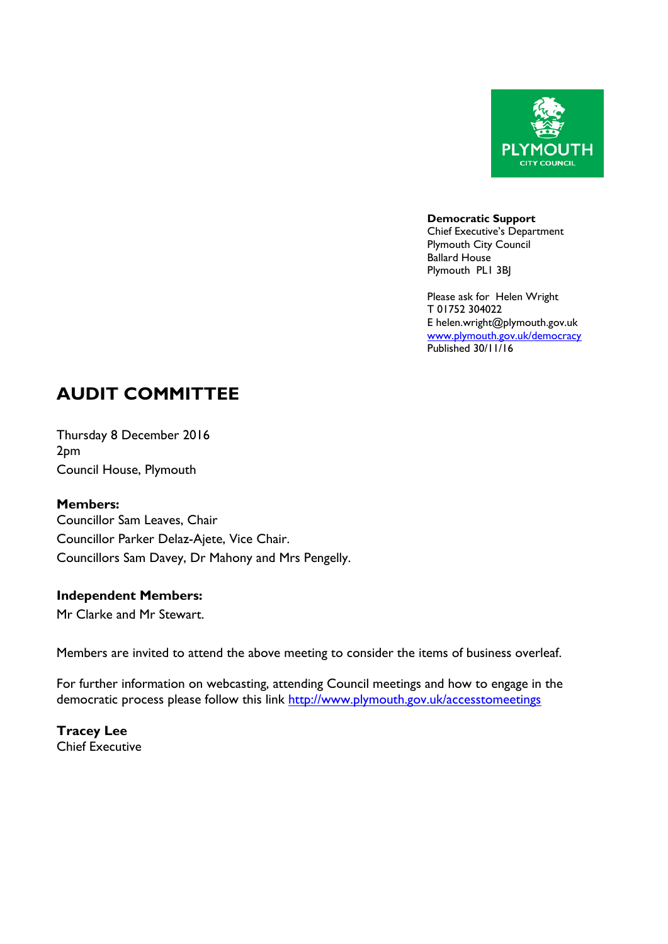

**Democratic Support** Chief Executive's Department Plymouth City Council Ballard House Plymouth PL1 3BJ

Please ask for Helen Wright T 01752 304022 E helen.wright@plymouth.gov.uk [www.plymouth.gov.uk](http://www.plymouth.gov.uk/)/democracy Published 30/11/16

# **AUDIT COMMITTEE**

Thursday 8 December 2016 2pm Council House, Plymouth

#### **Members:**

Councillor Sam Leaves, Chair Councillor Parker Delaz-Ajete, Vice Chair. Councillors Sam Davey, Dr Mahony and Mrs Pengelly.

#### **Independent Members:**

Mr Clarke and Mr Stewart.

Members are invited to attend the above meeting to consider the items of business overleaf.

For further information on webcasting, attending Council meetings and how to engage in the democratic process please follow this link <http://www.plymouth.gov.uk/accesstomeetings>

**Tracey Lee** Chief Executive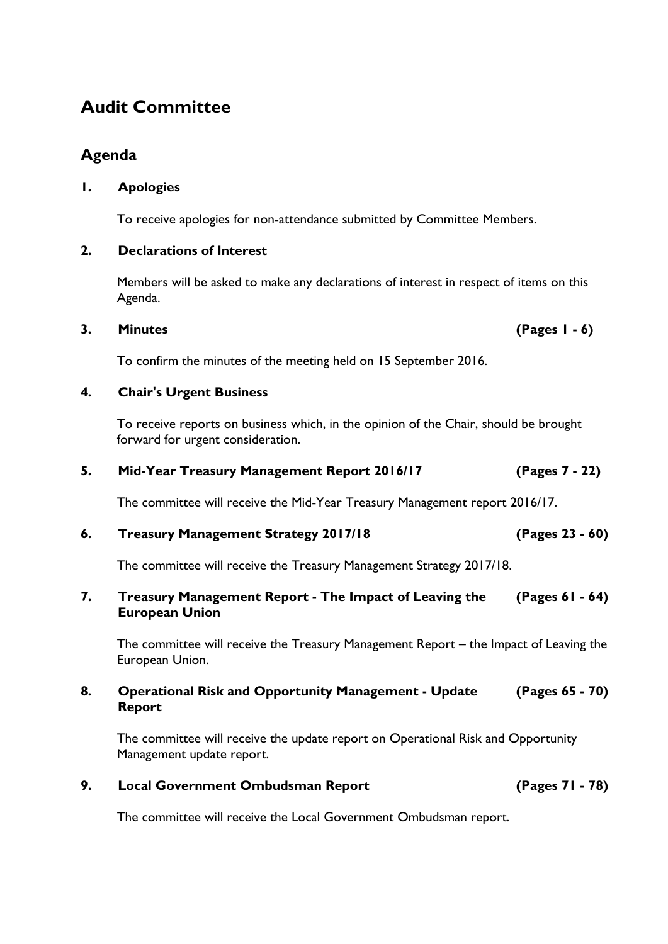## **Audit Committee**

## **Agenda**

### **1. Apologies**

To receive apologies for non-attendance submitted by Committee Members.

#### **2. Declarations of Interest**

Members will be asked to make any declarations of interest in respect of items on this Agenda.

#### **3. Minutes (Pages 1 - 6)**

To confirm the minutes of the meeting held on 15 September 2016.

#### **4. Chair's Urgent Business**

To receive reports on business which, in the opinion of the Chair, should be brought forward for urgent consideration.

### **5. Mid-Year Treasury Management Report 2016/17 (Pages 7 - 22)**

The committee will receive the Mid-Year Treasury Management report 2016/17.

### **6. Treasury Management Strategy 2017/18 (Pages 23 - 60)**

The committee will receive the Treasury Management Strategy 2017/18.

**7. Treasury Management Report - The Impact of Leaving the European Union (Pages 61 - 64)**

The committee will receive the Treasury Management Report – the Impact of Leaving the European Union.

#### **8. Operational Risk and Opportunity Management - Update Report (Pages 65 - 70)**

The committee will receive the update report on Operational Risk and Opportunity Management update report.

### **9. Local Government Ombudsman Report (Pages 71 - 78)**

The committee will receive the Local Government Ombudsman report.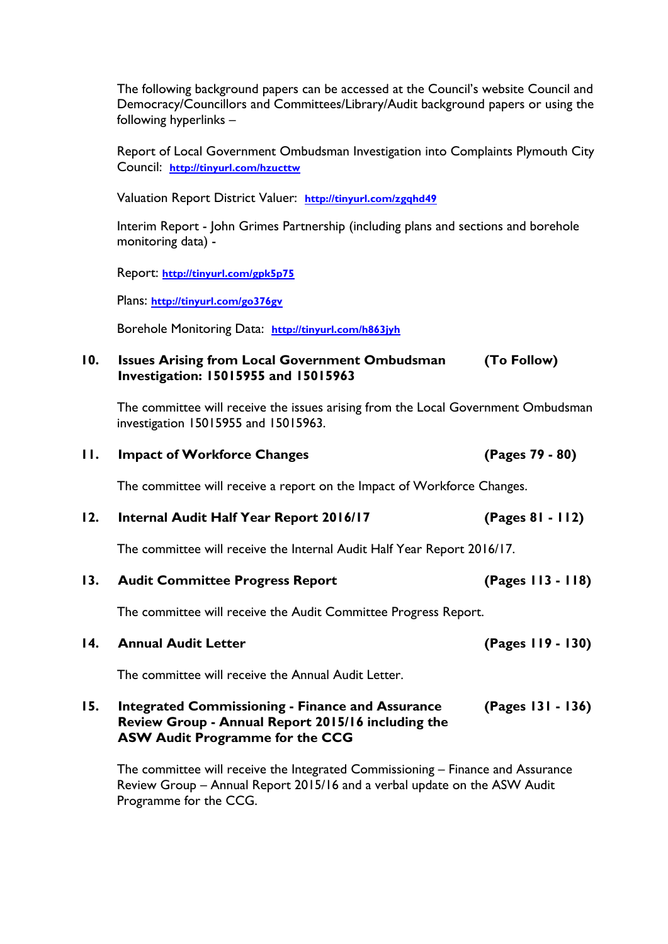The following background papers can be accessed at the Council's website Council and Democracy/Councillors and Committees/Library/Audit background papers or using the following hyperlinks –

Report of Local Government Ombudsman Investigation into Complaints Plymouth City Council: **<http://tinyurl.com/hzucttw>**

Valuation Report District Valuer: **<http://tinyurl.com/zgqhd49>**

Interim Report - John Grimes Partnership (including plans and sections and borehole monitoring data) -

Report: **<http://tinyurl.com/gpk5p75>**

Plans: **<http://tinyurl.com/go376gv>**

Borehole Monitoring Data: **<http://tinyurl.com/h863jyh>**

#### **10. Issues Arising from Local Government Ombudsman Investigation: 15015955 and 15015963 (To Follow)**

The committee will receive the issues arising from the Local Government Ombudsman investigation 15015955 and 15015963.

| П.  | <b>Impact of Workforce Changes</b>                                      | (Pages 79 - 80)   |
|-----|-------------------------------------------------------------------------|-------------------|
|     | The committee will receive a report on the Impact of Workforce Changes. |                   |
| 12. | Internal Audit Half Year Report 2016/17                                 | (Pages 81 - 112)  |
|     | The committee will receive the Internal Audit Half Year Report 2016/17. |                   |
| 13. | <b>Audit Committee Progress Report</b>                                  | (Pages 113 - 118) |
|     | The commutation will accept to the Audit Commutation Davidson, December |                   |

The committee will receive the Audit Committee Progress Report.

The committee will receive the Annual Audit Letter.

#### **15. Integrated Commissioning - Finance and Assurance Review Group - Annual Report 2015/16 including the ASW Audit Programme for the CCG (Pages 131 - 136)**

The committee will receive the Integrated Commissioning – Finance and Assurance Review Group – Annual Report 2015/16 and a verbal update on the ASW Audit Programme for the CCG.